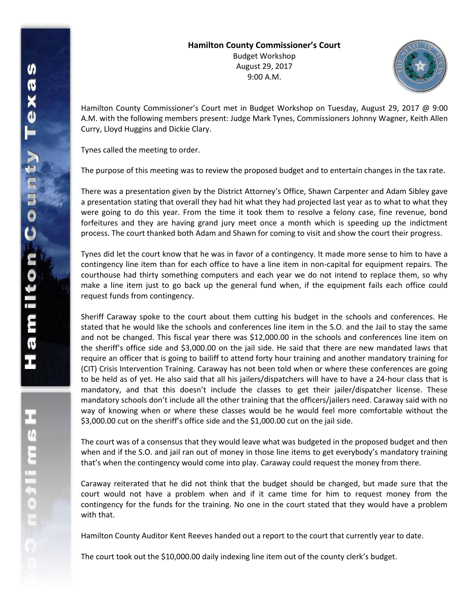## **Hamilton County Commissioner's Court** Budget Workshop August 29, 2017 9:00 A.M.



Hamilton County Commissioner's Court met in Budget Workshop on Tuesday, August 29, 2017 @ 9:00 A.M. with the following members present: Judge Mark Tynes, Commissioners Johnny Wagner, Keith Allen Curry, Lloyd Huggins and Dickie Clary.

Tynes called the meeting to order.

The purpose of this meeting was to review the proposed budget and to entertain changes in the tax rate.

There was a presentation given by the District Attorney's Office, Shawn Carpenter and Adam Sibley gave a presentation stating that overall they had hit what they had projected last year as to what to what they were going to do this year. From the time it took them to resolve a felony case, fine revenue, bond forfeitures and they are having grand jury meet once a month which is speeding up the indictment process. The court thanked both Adam and Shawn for coming to visit and show the court their progress.

Tynes did let the court know that he was in favor of a contingency. It made more sense to him to have a contingency line item than for each office to have a line item in non-capital for equipment repairs. The courthouse had thirty something computers and each year we do not intend to replace them, so why make a line item just to go back up the general fund when, if the equipment fails each office could request funds from contingency.

Sheriff Caraway spoke to the court about them cutting his budget in the schools and conferences. He stated that he would like the schools and conferences line item in the S.O. and the Jail to stay the same and not be changed. This fiscal year there was \$12,000.00 in the schools and conferences line item on the sheriff's office side and \$3,000.00 on the jail side. He said that there are new mandated laws that require an officer that is going to bailiff to attend forty hour training and another mandatory training for (CIT) Crisis Intervention Training. Caraway has not been told when or where these conferences are going to be held as of yet. He also said that all his jailers/dispatchers will have to have a 24-hour class that is mandatory, and that this doesn't include the classes to get their jailer/dispatcher license. These mandatory schools don't include all the other training that the officers/jailers need. Caraway said with no way of knowing when or where these classes would be he would feel more comfortable without the \$3,000.00 cut on the sheriff's office side and the \$1,000.00 cut on the jail side.

The court was of a consensus that they would leave what was budgeted in the proposed budget and then when and if the S.O. and jail ran out of money in those line items to get everybody's mandatory training that's when the contingency would come into play. Caraway could request the money from there.

Caraway reiterated that he did not think that the budget should be changed, but made sure that the court would not have a problem when and if it came time for him to request money from the contingency for the funds for the training. No one in the court stated that they would have a problem with that.

Hamilton County Auditor Kent Reeves handed out a report to the court that currently year to date.

The court took out the \$10,000.00 daily indexing line item out of the county clerk's budget.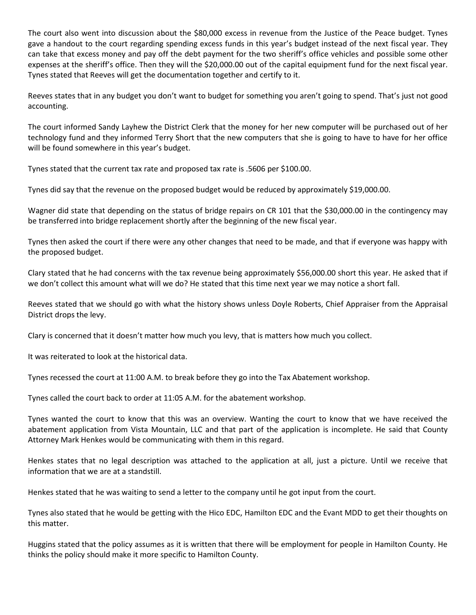The court also went into discussion about the \$80,000 excess in revenue from the Justice of the Peace budget. Tynes gave a handout to the court regarding spending excess funds in this year's budget instead of the next fiscal year. They can take that excess money and pay off the debt payment for the two sheriff's office vehicles and possible some other expenses at the sheriff's office. Then they will the \$20,000.00 out of the capital equipment fund for the next fiscal year. Tynes stated that Reeves will get the documentation together and certify to it.

Reeves states that in any budget you don't want to budget for something you aren't going to spend. That's just not good accounting.

The court informed Sandy Layhew the District Clerk that the money for her new computer will be purchased out of her technology fund and they informed Terry Short that the new computers that she is going to have to have for her office will be found somewhere in this year's budget.

Tynes stated that the current tax rate and proposed tax rate is .5606 per \$100.00.

Tynes did say that the revenue on the proposed budget would be reduced by approximately \$19,000.00.

Wagner did state that depending on the status of bridge repairs on CR 101 that the \$30,000.00 in the contingency may be transferred into bridge replacement shortly after the beginning of the new fiscal year.

Tynes then asked the court if there were any other changes that need to be made, and that if everyone was happy with the proposed budget.

Clary stated that he had concerns with the tax revenue being approximately \$56,000.00 short this year. He asked that if we don't collect this amount what will we do? He stated that this time next year we may notice a short fall.

Reeves stated that we should go with what the history shows unless Doyle Roberts, Chief Appraiser from the Appraisal District drops the levy.

Clary is concerned that it doesn't matter how much you levy, that is matters how much you collect.

It was reiterated to look at the historical data.

Tynes recessed the court at 11:00 A.M. to break before they go into the Tax Abatement workshop.

Tynes called the court back to order at 11:05 A.M. for the abatement workshop.

Tynes wanted the court to know that this was an overview. Wanting the court to know that we have received the abatement application from Vista Mountain, LLC and that part of the application is incomplete. He said that County Attorney Mark Henkes would be communicating with them in this regard.

Henkes states that no legal description was attached to the application at all, just a picture. Until we receive that information that we are at a standstill.

Henkes stated that he was waiting to send a letter to the company until he got input from the court.

Tynes also stated that he would be getting with the Hico EDC, Hamilton EDC and the Evant MDD to get their thoughts on this matter.

Huggins stated that the policy assumes as it is written that there will be employment for people in Hamilton County. He thinks the policy should make it more specific to Hamilton County.